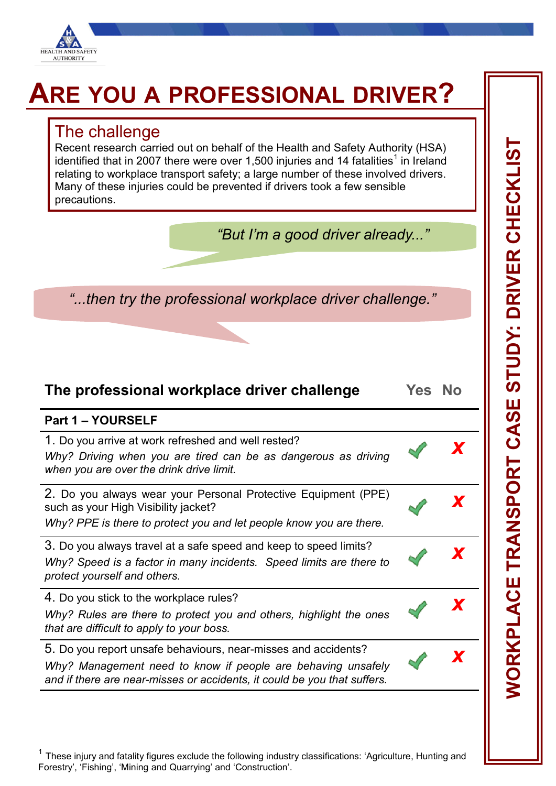

## **ARE YOU A PROFESSIONAL DRIVER?**

## The challenge

Recent research carried out on behalf of the Health and Safety Authority (HSA) identified that in 2007 there were over 1,500 injuries and 14 fatalities<sup>1</sup> in Ireland relating to workplace transport safety; a large number of these involved drivers. Many of these injuries could be prevented if drivers took a few sensible precautions.

| "But I'm a good driver already" |  |  |  |
|---------------------------------|--|--|--|
|---------------------------------|--|--|--|

*"...then try the professional workplace driver challenge."*

## **The professional workplace driver challenge Yes No**

*x*

*x*

*x*

*x*

*x*

## **Part 1 – YOURSELF**

1. Do you arrive at work refreshed and well rested?

*Why? Driving when you are tired can be as dangerous as driving when you are over the drink drive limit.*

2. Do you always wear your Personal Protective Equipment (PPE) such as your High Visibility jacket?

*Why? PPE is there to protect you and let people know you are there.*

3. Do you always travel at a safe speed and keep to speed limits? *Why? Speed is a factor in many incidents. Speed limits are there to protect yourself and others.*

4. Do you stick to the workplace rules?

*Why? Rules are there to protect you and others, highlight the ones that are difficult to apply to your boss.*

5. Do you report unsafe behaviours, near-misses and accidents? *Why? Management need to know if people are behaving unsafely and if there are near-misses or accidents, it could be you that suffers.*

 $1$  These injury and fatality figures exclude the following industry classifications: 'Agriculture, Hunting and Forestry', 'Fishing', 'Mining and Quarrying' and 'Construction'.